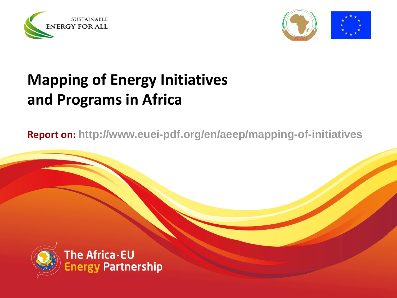



# **Mapping of Energy Initiatives and Programs in Africa**

**Report on: http://www.euei-pdf.org/en/aeep/mapping-of-initiatives** 



The Africa-EU **Energy Partnership**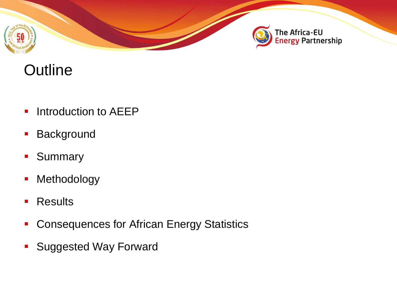



# **Outline**

- **Introduction to AEEP**
- **Background**
- **Summary**
- **-** Methodology
- **Results**
- **Consequences for African Energy Statistics**
- **Suggested Way Forward**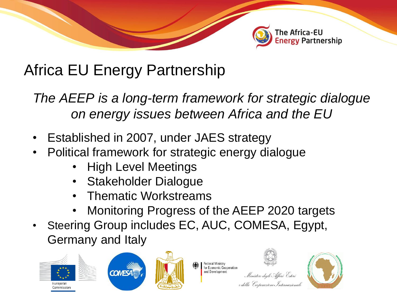

# Africa EU Energy Partnership

*The AEEP is a long-term framework for strategic dialogue on energy issues between Africa and the EU*

- Established in 2007, under JAES strategy
- Political framework for strategic energy dialogue
	- High Level Meetings
	- Stakeholder Dialogue
	- Thematic Workstreams
	- Monitoring Progress of the AEEP 2020 targets

**Federal Ministry** for Economic Cooperation

and Development

Steering Group includes EC, AUC, COMESA, Egypt, Germany and Italy



Ministero degli Affari Esteri

e della Cooperazione Internazionale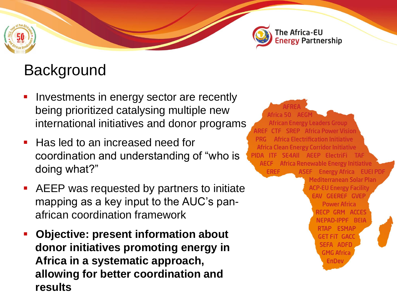



### **Background**

- Investments in energy sector are recently being prioritized catalysing multiple new international initiatives and donor programs
- Has led to an increased need for coordination and understanding of "who is doing what?"
- AEEP was requested by partners to initiate mapping as a key input to the AUC's panafrican coordination framework
- **Objective: present information about donor initiatives promoting energy in Africa in a systematic approach, allowing for better coordination and results**

**African Energy Leaders Group AREF CTF SREP Africa Power Vision Africa Electrification Initiative Africa Clean Energy Corridor Initiative** PIDA ITF SE4AII AEEP ElectriFi TAF **AECF** Africa Renewable Energy Initiative **ASEF** Energy Africa EUEI PD **EREF** Mediterranean Solar Plan **ACP-EU Energy Facility EAV GEEREF GVEP Power Africa** RECP GRM ACCES NEPAD-IPPF BEIA RTAP ESMAP **GET FIT GACC** SEFA ADFD **GMG Africa EnDev**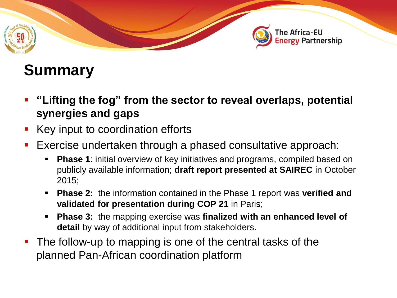

# **Summary**

- **"Lifting the fog" from the sector to reveal overlaps, potential synergies and gaps**
- Key input to coordination efforts
- Exercise undertaken through a phased consultative approach:
	- **Phase 1:** initial overview of key initiatives and programs, compiled based on publicly available information; **draft report presented at SAIREC** in October 2015;
	- **Phase 2:** the information contained in the Phase 1 report was **verified and validated for presentation during COP 21** in Paris;
	- **Phase 3:** the mapping exercise was **finalized with an enhanced level of detail** by way of additional input from stakeholders.
- The follow-up to mapping is one of the central tasks of the planned Pan-African coordination platform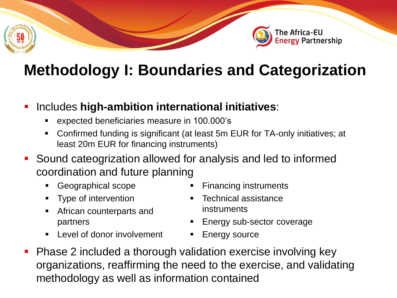

# **Methodology I: Boundaries and Categorization**

#### **-** Includes high-ambition international initiatives:

- expected beneficiaries measure in 100.000's
- Confirmed funding is significant (at least 5m EUR for TA-only initiatives; at least 20m EUR for financing instruments)
- Sound cateogrization allowed for analysis and led to informed coordination and future planning
	- **Geographical scope**
	- **Type of intervention**
	- **African counterparts and** partners
	- **Level of donor involvement**
- Financing instruments
- Technical assistance instruments
- Energy sub-sector coverage
- Energy source
- Phase 2 included a thorough validation exercise involving key organizations, reaffirming the need to the exercise, and validating methodology as well as information contained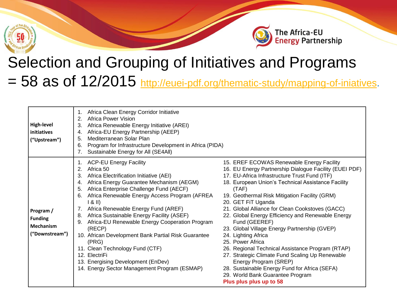



# Selection and Grouping of Initiatives and Programs = 58 as of 12/2015 <http://euei-pdf.org/thematic-study/mapping-of-iniatives>.

| <b>High-level</b><br>initiatives<br>("Upstream")                  | Africa Clean Energy Corridor Initiative<br>Africa Power Vision<br>2.<br>Africa Renewable Energy Initiative (AREI)<br>3.<br>Africa-EU Energy Partnership (AEEP)<br>Mediterranean Solar Plan<br>5.<br>Program for Infrastructure Development in Africa (PIDA)<br>6.<br>Sustainable Energy for All (SE4All)                                                                                                                                                                                                                                                                                                                                      |                                                                                                                                                                                                                                                                                                                                                                                                                                                                                                                                                                                                                                                                                                                                                                |
|-------------------------------------------------------------------|-----------------------------------------------------------------------------------------------------------------------------------------------------------------------------------------------------------------------------------------------------------------------------------------------------------------------------------------------------------------------------------------------------------------------------------------------------------------------------------------------------------------------------------------------------------------------------------------------------------------------------------------------|----------------------------------------------------------------------------------------------------------------------------------------------------------------------------------------------------------------------------------------------------------------------------------------------------------------------------------------------------------------------------------------------------------------------------------------------------------------------------------------------------------------------------------------------------------------------------------------------------------------------------------------------------------------------------------------------------------------------------------------------------------------|
| Program /<br><b>Funding</b><br><b>Mechanism</b><br>("Downstream") | 1. ACP-EU Energy Facility<br>Africa 50<br>2.<br>Africa Electrification Initiative (AEI)<br>3.<br>Africa Energy Guarantee Mechanism (AEGM)<br>4.<br>Africa Enterprise Challenge Fund (AECF)<br>5.<br>Africa Renewable Energy Access Program (AFREA<br>6.<br>  8   <br>Africa Renewable Energy Fund (AREF)<br>7.<br>Africa Sustainable Energy Facility (ASEF)<br>8.<br>Africa-EU Renewable Energy Cooperation Program<br>9.<br>(RECP)<br>10. African Development Bank Partial Risk Guarantee<br>(PRG)<br>11. Clean Technology Fund (CTF)<br>12. ElectriFi<br>13. Energising Development (EnDev)<br>14. Energy Sector Management Program (ESMAP) | 15. EREF ECOWAS Renewable Energy Facility<br>16. EU Energy Partnership Dialogue Facility (EUEI PDF)<br>17. EU-Africa Infrastructure Trust Fund (ITF)<br>18. European Union's Technical Assistance Facility<br>(TAF)<br>19. Geothermal Risk Mitigation Facility (GRM)<br>20. GET FiT Uganda<br>21. Global Alliance for Clean Cookstoves (GACC)<br>22. Global Energy Efficiency and Renewable Energy<br>Fund (GEEREF)<br>23. Global Village Energy Partnership (GVEP)<br>24. Lighting Africa<br>25. Power Africa<br>26. Regional Technical Assistance Program (RTAP)<br>27. Strategic Climate Fund Scaling Up Renewable<br>Energy Program (SREP)<br>28. Sustainable Energy Fund for Africa (SEFA)<br>29. World Bank Guarantee Program<br>Plus plus plus up to 58 |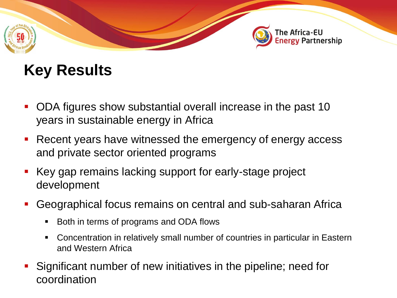

# **Key Results**

- ODA figures show substantial overall increase in the past 10 years in sustainable energy in Africa
- **Recent years have witnessed the emergency of energy access** and private sector oriented programs
- Key gap remains lacking support for early-stage project development
- Geographical focus remains on central and sub-saharan Africa
	- Both in terms of programs and ODA flows
	- Concentration in relatively small number of countries in particular in Eastern and Western Africa
- Significant number of new initiatives in the pipeline; need for coordination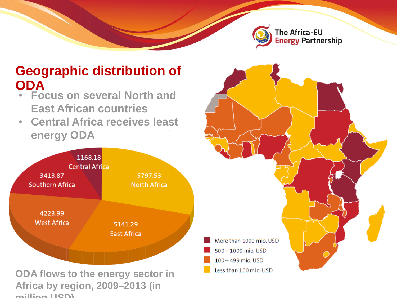

### **Geographic distribution of ODA**

- **Focus on several North and East African countries**
- **Central Africa receives least energy ODA**



IIGA DY TEGION, 2009–2013 (III<br>Ilian HSD)

**million USD)**

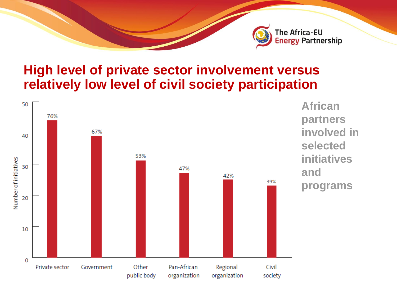

### **High level of private sector involvement versus relatively low level of civil society participation**

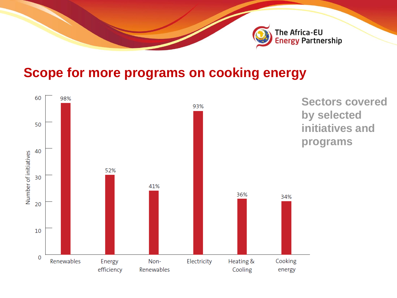

### **Scope for more programs on cooking energy**

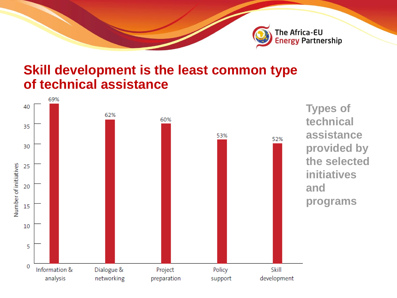

#### **Skill development is the least common type of technical assistance**

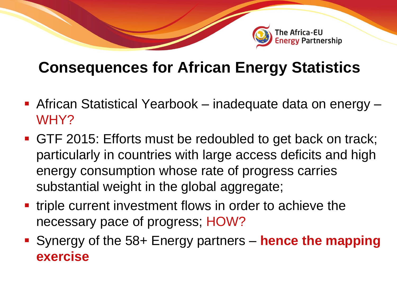

# **Consequences for African Energy Statistics**

- African Statistical Yearbook inadequate data on energy WHY?
- GTF 2015: Efforts must be redoubled to get back on track; particularly in countries with large access deficits and high energy consumption whose rate of progress carries substantial weight in the global aggregate;
- **time** triple current investment flows in order to achieve the necessary pace of progress; HOW?
- Synergy of the 58+ Energy partners **hence the mapping exercise**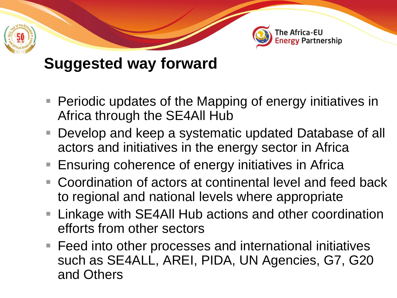

# **Suggested way forward**

- **Periodic updates of the Mapping of energy initiatives in** Africa through the SE4All Hub
- Develop and keep a systematic updated Database of all actors and initiatives in the energy sector in Africa
- Ensuring coherence of energy initiatives in Africa
- Coordination of actors at continental level and feed back to regional and national levels where appropriate
- Linkage with SE4All Hub actions and other coordination efforts from other sectors
- Feed into other processes and international initiatives such as SE4ALL, AREI, PIDA, UN Agencies, G7, G20 and Others